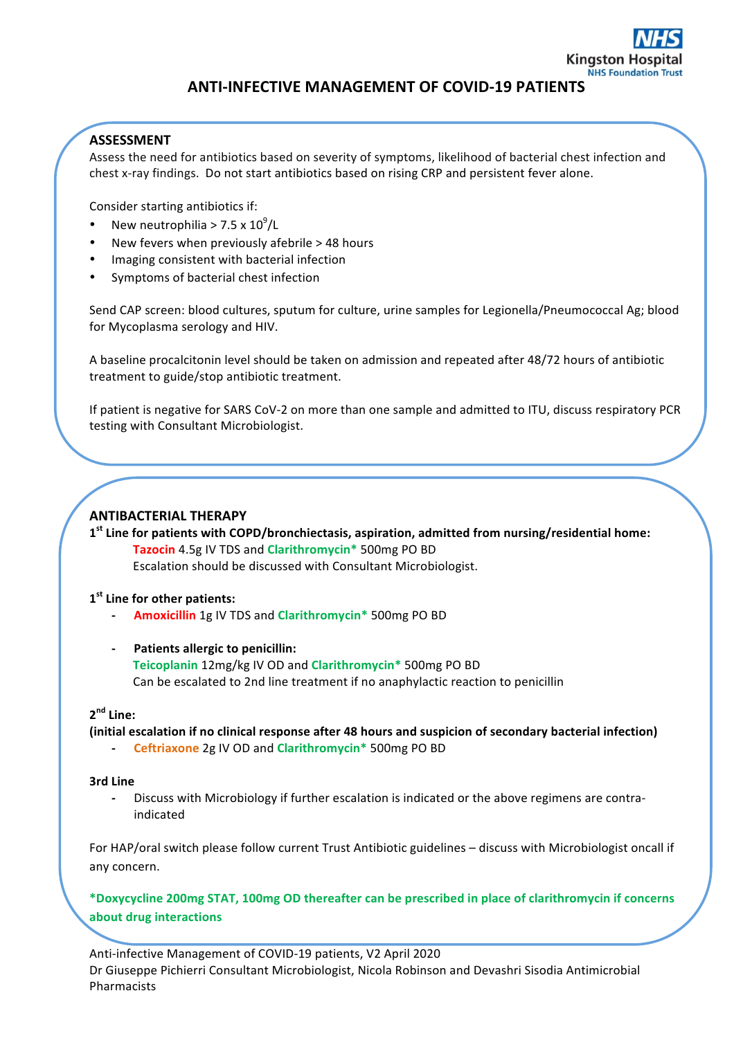

# **ANTI-INFECTIVE MANAGEMENT OF COVID-19 PATIENTS**

## **ASSESSMENT**

Assess the need for antibiotics based on severity of symptoms, likelihood of bacterial chest infection and chest x-ray findings. Do not start antibiotics based on rising CRP and persistent fever alone.

Consider starting antibiotics if:

- New neutrophilia >  $7.5 \times 10^9$ /L
- New fevers when previously afebrile  $>$  48 hours
- Imaging consistent with bacterial infection
- Symptoms of bacterial chest infection

Send CAP screen: blood cultures, sputum for culture, urine samples for Legionella/Pneumococcal Ag; blood for Mycoplasma serology and HIV.

A baseline procalcitonin level should be taken on admission and repeated after 48/72 hours of antibiotic treatment to guide/stop antibiotic treatment.

If patient is negative for SARS CoV-2 on more than one sample and admitted to ITU, discuss respiratory PCR testing with Consultant Microbiologist.

### **ANTIBACTERIAL THERAPY**

1<sup><sup>st</sup> Line for patients with COPD/bronchiectasis, aspiration, admitted from nursing/residential home:</sup> **Tazocin** 4.5g IV TDS and **Clarithromycin**\* 500mg PO BD Escalation should be discussed with Consultant Microbiologist.

#### **1st Line for other patients:**

- **- Amoxicillin** 1g IV TDS and **Clarithromycin\*** 500mg PO BD
- **Patients allergic to penicillin: Teicoplanin** 12mg/kg IV OD and **Clarithromycin\*** 500mg PO BD **Can** be escalated to 2nd line treatment if no anaphylactic reaction to penicillin

## **2nd Line:**

**(initial escalation if no clinical response after 48 hours and suspicion of secondary bacterial infection)**

**- Ceftriaxone** 2g IV OD and **Clarithromycin\*** 500mg PO BD

#### **3rd Line**

- Discuss with Microbiology if further escalation is indicated or the above regimens are contraindicated

For HAP/oral switch please follow current Trust Antibiotic guidelines - discuss with Microbiologist oncall if any concern.

**\*Doxycycline 200mg STAT, 100mg OD thereafter can be prescribed in place of clarithromycin if concerns about drug interactions**

Anti-infective Management of COVID-19 patients, V2 April 2020 Dr Giuseppe Pichierri Consultant Microbiologist, Nicola Robinson and Devashri Sisodia Antimicrobial Pharmacists